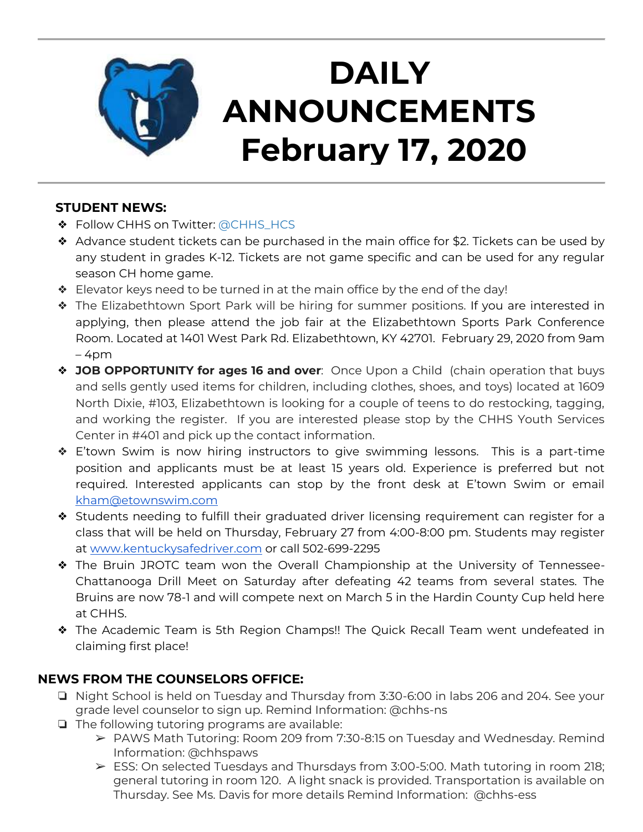

# **DAILY ANNOUNCEMENTS February 17, 2020**

### **STUDENT NEWS:**

- ◆ Follow CHHS on Twitter: [@CHHS\\_HCS](https://twitter.com/CHHS_HCS)
- ❖ Advance student tickets can be purchased in the main office for \$2. Tickets can be used by any student in grades K-12. Tickets are not game specific and can be used for any regular season CH home game.
- ❖ Elevator keys need to be turned in at the main office by the end of the day!
- ❖ The Elizabethtown Sport Park will be hiring for summer positions. If you are interested in applying, then please attend the job fair at the Elizabethtown Sports Park Conference Room. Located at 1401 West Park Rd. Elizabethtown, KY 42701. February 29, 2020 from 9am  $-4$ pm
- ❖ **JOB OPPORTUNITY for ages 16 and over**: Once Upon a Child (chain operation that buys and sells gently used items for children, including clothes, shoes, and toys) located at 1609 North Dixie, #103, Elizabethtown is looking for a couple of teens to do restocking, tagging, and working the register. If you are interested please stop by the CHHS Youth Services Center in #401 and pick up the contact information.
- ❖ E'town Swim is now hiring instructors to give swimming lessons. This is a part-time position and applicants must be at least 15 years old. Experience is preferred but not required. Interested applicants can stop by the front desk at E'town Swim or email [kham@etownswim.com](mailto:kham@etownswim.com)
- ❖ Students needing to fulfill their graduated driver licensing requirement can register for a class that will be held on Thursday, February 27 from 4:00-8:00 pm. Students may register at [www.kentuckysafedriver.com](http://www.kentuckysafedriver.com/) or call 502-699-2295
- ❖ The Bruin JROTC team won the Overall Championship at the University of Tennessee-Chattanooga Drill Meet on Saturday after defeating 42 teams from several states. The Bruins are now 78-1 and will compete next on March 5 in the Hardin County Cup held here at CHHS.
- ❖ The Academic Team is 5th Region Champs!! The Quick Recall Team went undefeated in claiming first place!

## **NEWS FROM THE COUNSELORS OFFICE:**

- ❏ Night School is held on Tuesday and Thursday from 3:30-6:00 in labs 206 and 204. See your grade level counselor to sign up. Remind Information: @chhs-ns
- ❏ The following tutoring programs are available:
	- ➢ PAWS Math Tutoring: Room 209 from 7:30-8:15 on Tuesday and Wednesday. Remind Information: @chhspaws
	- ➢ ESS: On selected Tuesdays and Thursdays from 3:00-5:00. Math tutoring in room 218; general tutoring in room 120. A light snack is provided. Transportation is available on Thursday. See Ms. Davis for more details Remind Information: @chhs-ess